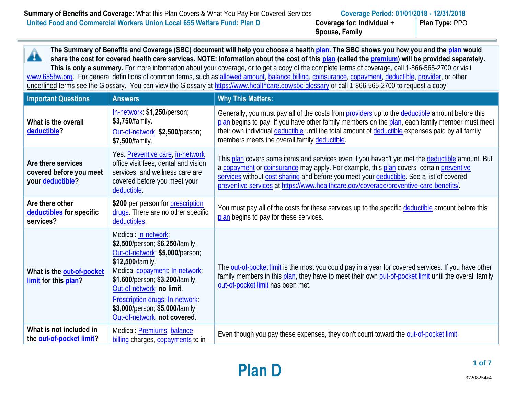**What is not included in the [out-of-pocket limit?](https://www.healthcare.gov/sbc-glossary/#out-of-pocket-limit)**  **Spouse, Family**

| The Summary of Benefits and Coverage (SBC) document will help you choose a health plan. The SBC shows you how you and the plan would<br>Â<br>share the cost for covered health care services. NOTE: Information about the cost of this plan (called the premium) will be provided separately.<br>This is only a summary. For more information about your coverage, or to get a copy of the complete terms of coverage, call 1-866-565-2700 or visit<br>www.655hw.org. For general definitions of common terms, such as allowed amount, balance billing, coinsurance, copayment, deductible, provider, or other<br>underlined terms see the Glossary. You can view the Glossary at https://www.healthcare.gov/sbc-glossary or call 1-866-565-2700 to request a copy. |                                                                                                                                                                                                                                                                                                                        |                                                                                                                                                                                                                                                                                                                                                                                |  |  |  |
|---------------------------------------------------------------------------------------------------------------------------------------------------------------------------------------------------------------------------------------------------------------------------------------------------------------------------------------------------------------------------------------------------------------------------------------------------------------------------------------------------------------------------------------------------------------------------------------------------------------------------------------------------------------------------------------------------------------------------------------------------------------------|------------------------------------------------------------------------------------------------------------------------------------------------------------------------------------------------------------------------------------------------------------------------------------------------------------------------|--------------------------------------------------------------------------------------------------------------------------------------------------------------------------------------------------------------------------------------------------------------------------------------------------------------------------------------------------------------------------------|--|--|--|
| <b>Important Questions</b>                                                                                                                                                                                                                                                                                                                                                                                                                                                                                                                                                                                                                                                                                                                                          | <b>Answers</b>                                                                                                                                                                                                                                                                                                         | <b>Why This Matters:</b>                                                                                                                                                                                                                                                                                                                                                       |  |  |  |
| What is the overall<br>deductible?                                                                                                                                                                                                                                                                                                                                                                                                                                                                                                                                                                                                                                                                                                                                  | In-network: \$1,250/person;<br>\$3,750/family.<br>Out-of-network: \$2,500/person;<br>\$7,500/family.                                                                                                                                                                                                                   | Generally, you must pay all of the costs from providers up to the deductible amount before this<br>plan begins to pay. If you have other family members on the plan, each family member must meet<br>their own individual deductible until the total amount of deductible expenses paid by all family<br>members meets the overall family deductible.                          |  |  |  |
| Are there services<br>covered before you meet<br>your deductible?                                                                                                                                                                                                                                                                                                                                                                                                                                                                                                                                                                                                                                                                                                   | Yes. Preventive care, in-network<br>office visit fees, dental and vision<br>services, and wellness care are<br>covered before you meet your<br>deductible.                                                                                                                                                             | This plan covers some items and services even if you haven't yet met the deductible amount. But<br>a copayment or coinsurance may apply. For example, this plan covers certain preventive<br>services without cost sharing and before you meet your deductible. See a list of covered<br>preventive services at https://www.healthcare.gov/coverage/preventive-care-benefits/. |  |  |  |
| Are there other<br>deductibles for specific<br>services?                                                                                                                                                                                                                                                                                                                                                                                                                                                                                                                                                                                                                                                                                                            | \$200 per person for prescription<br>drugs. There are no other specific<br>deductibles.                                                                                                                                                                                                                                | You must pay all of the costs for these services up to the specific deductible amount before this<br>plan begins to pay for these services.                                                                                                                                                                                                                                    |  |  |  |
| What is the out-of-pocket<br>limit for this plan?                                                                                                                                                                                                                                                                                                                                                                                                                                                                                                                                                                                                                                                                                                                   | Medical: In-network:<br>\$2,500/person; \$6,250/family;<br>Out-of-network: \$5,000/person;<br>\$12,500/family.<br>Medical copayment: In-network:<br>\$1,600/person; \$3,200/family;<br>Out-of-network: no limit.<br>Prescription drugs: In-network:<br>\$3,000/person; \$5,000/family;<br>Out-of-network: not covered. | The out-of-pocket limit is the most you could pay in a year for covered services. If you have other<br>family members in this plan, they have to meet their own out-of-pocket limit until the overall family<br>out-of-pocket limit has been met.                                                                                                                              |  |  |  |

Medical: **Premiums**, **balance**<br>billing charges, **copayments** to inEven though you pay these expenses, they don't count toward the [out-of-pocket limit.](https://www.healthcare.gov/sbc-glossary/#out-of-pocket-limit)

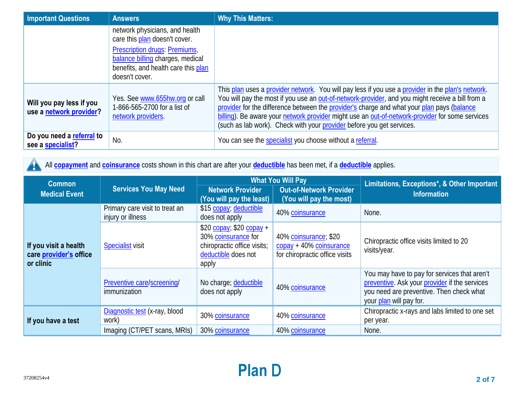| <b>Important Questions</b>                          | <b>Answers</b>                                                                                                                       | <b>Why This Matters:</b>                                                                                                                                                                                                                                                                                                                                                                                                                                                        |
|-----------------------------------------------------|--------------------------------------------------------------------------------------------------------------------------------------|---------------------------------------------------------------------------------------------------------------------------------------------------------------------------------------------------------------------------------------------------------------------------------------------------------------------------------------------------------------------------------------------------------------------------------------------------------------------------------|
|                                                     | network physicians, and health<br>care this plan doesn't cover.<br>Prescription drugs: Premiums,<br>balance billing charges, medical |                                                                                                                                                                                                                                                                                                                                                                                                                                                                                 |
|                                                     | benefits, and health care this plan<br>doesn't cover.                                                                                |                                                                                                                                                                                                                                                                                                                                                                                                                                                                                 |
| Will you pay less if you<br>use a network provider? | Yes. See www.655hw.org or call<br>1-866-565-2700 for a list of<br>network providers.                                                 | This plan uses a provider network. You will pay less if you use a provider in the plan's network.<br>You will pay the most if you use an out-of-network-provider, and you might receive a bill from a<br>provider for the difference between the provider's charge and what your plan pays (balance<br>billing). Be aware your network provider might use an out-of-network-provider for some services<br>(such as lab work). Check with your provider before you get services. |
| Do you need a referral to<br>see a specialist?      | No.                                                                                                                                  | You can see the specialist you choose without a referral.                                                                                                                                                                                                                                                                                                                                                                                                                       |

All **[copayment](https://www.healthcare.gov/sbc-glossary/#copayment)** and **[coinsurance](https://www.healthcare.gov/sbc-glossary/#coinsurance)** costs shown in this chart are after your **[deductible](https://www.healthcare.gov/sbc-glossary/#deductible)** has been met, if a **[deductible](https://www.healthcare.gov/sbc-glossary/#deductible)** applies. A

| <b>Common</b>                                                | <b>Services You May Need</b>                        | <b>What You Will Pay</b>                                                                                        |                                                                                                            | Limitations, Exceptions*, & Other Important                                                                                                                          |  |
|--------------------------------------------------------------|-----------------------------------------------------|-----------------------------------------------------------------------------------------------------------------|------------------------------------------------------------------------------------------------------------|----------------------------------------------------------------------------------------------------------------------------------------------------------------------|--|
| <b>Medical Event</b>                                         |                                                     | <b>Network Provider</b><br>(You will pay the least)                                                             | <b>Out-of-Network Provider</b><br>(You will pay the most)                                                  | <b>Information</b>                                                                                                                                                   |  |
|                                                              | Primary care visit to treat an<br>injury or illness | \$15 copay; deductible<br>does not apply                                                                        | 40% coinsurance                                                                                            | None.                                                                                                                                                                |  |
| If you visit a health<br>care provider's office<br>or clinic | <b>Specialist visit</b>                             | $$20$ copay; \$20 copay +<br>30% coinsurance for<br>chiropractic office visits;<br>deductible does not<br>apply | 40% coinsurance; \$20<br>$\frac{\text{copay}}{\text{140\%}}$ coinsurance<br>for chiropractic office visits | Chiropractic office visits limited to 20<br>visits/year.                                                                                                             |  |
|                                                              | Preventive care/screening/<br>immunization          | No charge; deductible<br>does not apply                                                                         | 40% coinsurance                                                                                            | You may have to pay for services that aren't<br>preventive. Ask your provider if the services<br>you need are preventive. Then check what<br>your plan will pay for. |  |
| If you have a test                                           | Diagnostic test (x-ray, blood<br>work)              | 30% coinsurance                                                                                                 | 40% coinsurance                                                                                            | Chiropractic x-rays and labs limited to one set<br>per year.                                                                                                         |  |
|                                                              | Imaging (CT/PET scans, MRIs)                        | 30% coinsurance                                                                                                 | 40% coinsurance                                                                                            | None.                                                                                                                                                                |  |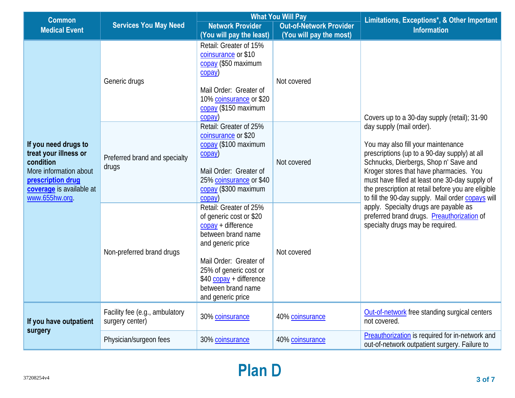| <b>Common</b>                                                                                                                                                                     |                                                   | <b>What You Will Pay</b>                                                                                                                                                                                                                                                    |                                | Limitations, Exceptions*, & Other Important                                                                                                                                                                                                                                                                                                                                                                                                                                                                                                |  |
|-----------------------------------------------------------------------------------------------------------------------------------------------------------------------------------|---------------------------------------------------|-----------------------------------------------------------------------------------------------------------------------------------------------------------------------------------------------------------------------------------------------------------------------------|--------------------------------|--------------------------------------------------------------------------------------------------------------------------------------------------------------------------------------------------------------------------------------------------------------------------------------------------------------------------------------------------------------------------------------------------------------------------------------------------------------------------------------------------------------------------------------------|--|
| <b>Medical Event</b>                                                                                                                                                              | <b>Services You May Need</b>                      | <b>Network Provider</b>                                                                                                                                                                                                                                                     | <b>Out-of-Network Provider</b> | <b>Information</b>                                                                                                                                                                                                                                                                                                                                                                                                                                                                                                                         |  |
|                                                                                                                                                                                   |                                                   | (You will pay the least)                                                                                                                                                                                                                                                    | (You will pay the most)        |                                                                                                                                                                                                                                                                                                                                                                                                                                                                                                                                            |  |
| If you need drugs to<br>treat your illness or<br>condition<br>More information about<br>prescription drug<br>coverage is available at<br>www.655hw.org.<br>If you have outpatient | Generic drugs                                     | Retail: Greater of 15%<br>coinsurance or \$10<br>copay (\$50 maximum<br>copay)<br>Mail Order: Greater of<br>10% coinsurance or \$20<br>copay (\$150 maximum<br>copay)                                                                                                       | Not covered                    | Covers up to a 30-day supply (retail); 31-90<br>day supply (mail order).<br>You may also fill your maintenance<br>prescriptions (up to a 90-day supply) at all<br>Schnucks, Dierbergs, Shop n' Save and<br>Kroger stores that have pharmacies. You<br>must have filled at least one 30-day supply of<br>the prescription at retail before you are eligible<br>to fill the 90-day supply. Mail order copays will<br>apply. Specialty drugs are payable as<br>preferred brand drugs. Preauthorization of<br>specialty drugs may be required. |  |
|                                                                                                                                                                                   | Preferred brand and specialty<br>drugs            | Retail: Greater of 25%<br>coinsurance or \$20<br>copay (\$100 maximum<br>$\cos(2\theta)$<br>Mail Order: Greater of<br>25% coinsurance or \$40<br>copay (\$300 maximum<br>copay)                                                                                             | Not covered                    |                                                                                                                                                                                                                                                                                                                                                                                                                                                                                                                                            |  |
|                                                                                                                                                                                   | Non-preferred brand drugs                         | Retail: Greater of 25%<br>of generic cost or \$20<br>$\frac{\text{copy}}{\text{energy}}$ + difference<br>between brand name<br>and generic price<br>Mail Order: Greater of<br>25% of generic cost or<br>$$40$ copay + difference<br>between brand name<br>and generic price | Not covered                    |                                                                                                                                                                                                                                                                                                                                                                                                                                                                                                                                            |  |
|                                                                                                                                                                                   | Facility fee (e.g., ambulatory<br>surgery center) | 30% coinsurance                                                                                                                                                                                                                                                             | 40% coinsurance                | Out-of-network free standing surgical centers<br>not covered.                                                                                                                                                                                                                                                                                                                                                                                                                                                                              |  |
| surgery                                                                                                                                                                           | Physician/surgeon fees                            | 30% coinsurance                                                                                                                                                                                                                                                             | 40% coinsurance                | Preauthorization is required for in-network and<br>out-of-network outpatient surgery. Failure to                                                                                                                                                                                                                                                                                                                                                                                                                                           |  |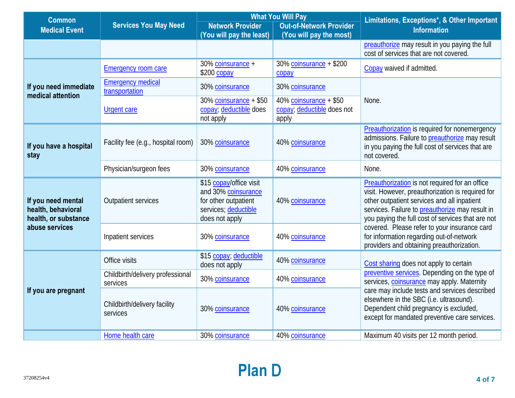| <b>Common</b>                                                    |                                              | <b>What You Will Pay</b>                                                                                         |                                                               | Limitations, Exceptions*, & Other Important                                                                                                                                                                                                               |  |
|------------------------------------------------------------------|----------------------------------------------|------------------------------------------------------------------------------------------------------------------|---------------------------------------------------------------|-----------------------------------------------------------------------------------------------------------------------------------------------------------------------------------------------------------------------------------------------------------|--|
| <b>Medical Event</b>                                             | <b>Services You May Need</b>                 | <b>Network Provider</b><br>(You will pay the least)                                                              | <b>Out-of-Network Provider</b><br>(You will pay the most)     | <b>Information</b>                                                                                                                                                                                                                                        |  |
|                                                                  |                                              |                                                                                                                  |                                                               | preauthorize may result in you paying the full<br>cost of services that are not covered.                                                                                                                                                                  |  |
|                                                                  | <b>Emergency room care</b>                   | 30% coinsurance +<br>\$200 copay                                                                                 | $30\%$ coinsurance + \$200<br>copay                           | Copay waived if admitted.                                                                                                                                                                                                                                 |  |
| If you need immediate<br>medical attention                       | <b>Emergency medical</b><br>transportation   | 30% coinsurance                                                                                                  | 30% coinsurance                                               |                                                                                                                                                                                                                                                           |  |
|                                                                  | <b>Urgent care</b>                           | 30% coinsurance + \$50<br>copay; deductible does<br>not apply                                                    | 40% coinsurance + \$50<br>copay; deductible does not<br>apply | None.                                                                                                                                                                                                                                                     |  |
| If you have a hospital<br>stay                                   | Facility fee (e.g., hospital room)           | 30% coinsurance                                                                                                  | 40% coinsurance                                               | Preauthorization is required for nonemergency<br>admissions. Failure to preauthorize may result<br>in you paying the full cost of services that are<br>not covered.                                                                                       |  |
|                                                                  | Physician/surgeon fees                       | 30% coinsurance                                                                                                  | 40% coinsurance                                               | None.                                                                                                                                                                                                                                                     |  |
| If you need mental<br>health, behavioral<br>health, or substance | <b>Outpatient services</b>                   | \$15 copay/office visit<br>and 30% coinsurance<br>for other outpatient<br>services; deductible<br>does not apply | 40% coinsurance                                               | Preauthorization is not required for an office<br>visit. However, preauthorization is required for<br>other outpatient services and all inpatient<br>services. Failure to preauthorize may result in<br>you paying the full cost of services that are not |  |
| abuse services                                                   | Inpatient services                           | 30% coinsurance                                                                                                  | 40% coinsurance                                               | covered. Please refer to your insurance card<br>for information regarding out-of-network<br>providers and obtaining preauthorization.                                                                                                                     |  |
|                                                                  | Office visits                                | \$15 copay; deductible<br>does not apply                                                                         | 40% coinsurance                                               | Cost sharing does not apply to certain                                                                                                                                                                                                                    |  |
|                                                                  | Childbirth/delivery professional<br>services | 30% coinsurance                                                                                                  | 40% coinsurance                                               | preventive services. Depending on the type of<br>services, coinsurance may apply. Maternity                                                                                                                                                               |  |
| If you are pregnant                                              | Childbirth/delivery facility<br>services     | 30% coinsurance                                                                                                  | 40% coinsurance                                               | care may include tests and services described<br>elsewhere in the SBC (i.e. ultrasound).<br>Dependent child pregnancy is excluded,<br>except for mandated preventive care services.                                                                       |  |
|                                                                  | Home health care                             | 30% coinsurance                                                                                                  | 40% coinsurance                                               | Maximum 40 visits per 12 month period.                                                                                                                                                                                                                    |  |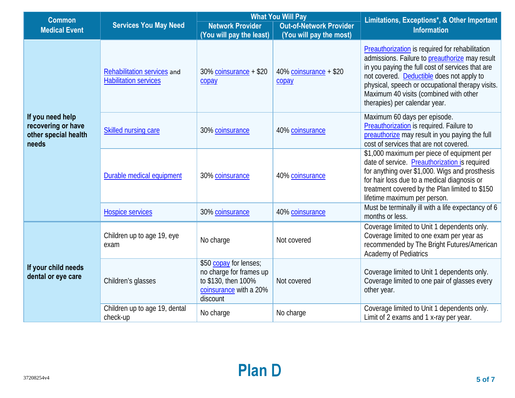| <b>Common</b>                                                           |                                                             | <b>What You Will Pay</b>                                                                                       |                                 | Limitations, Exceptions*, & Other Important                                                                                                                                                                                                                                                                                       |  |
|-------------------------------------------------------------------------|-------------------------------------------------------------|----------------------------------------------------------------------------------------------------------------|---------------------------------|-----------------------------------------------------------------------------------------------------------------------------------------------------------------------------------------------------------------------------------------------------------------------------------------------------------------------------------|--|
| <b>Medical Event</b>                                                    | <b>Services You May Need</b>                                | <b>Network Provider</b>                                                                                        | <b>Out-of-Network Provider</b>  | <b>Information</b>                                                                                                                                                                                                                                                                                                                |  |
|                                                                         |                                                             | (You will pay the least)                                                                                       | (You will pay the most)         |                                                                                                                                                                                                                                                                                                                                   |  |
|                                                                         | Rehabilitation services and<br><b>Habilitation services</b> | 30% coinsurance + \$20<br>copay                                                                                | 40% coinsurance + \$20<br>copay | Preauthorization is required for rehabilitation<br>admissions. Failure to preauthorize may result<br>in you paying the full cost of services that are<br>not covered. Deductible does not apply to<br>physical, speech or occupational therapy visits.<br>Maximum 40 visits (combined with other<br>therapies) per calendar year. |  |
| If you need help<br>recovering or have<br>other special health<br>needs | Skilled nursing care                                        | 30% coinsurance                                                                                                | 40% coinsurance                 | Maximum 60 days per episode.<br>Preauthorization is required. Failure to<br>preauthorize may result in you paying the full<br>cost of services that are not covered.                                                                                                                                                              |  |
|                                                                         | Durable medical equipment                                   | 30% coinsurance                                                                                                | 40% coinsurance                 | \$1,000 maximum per piece of equipment per<br>date of service. Preauthorization is required<br>for anything over \$1,000. Wigs and prosthesis<br>for hair loss due to a medical diagnosis or<br>treatment covered by the Plan limited to \$150<br>lifetime maximum per person.                                                    |  |
|                                                                         | <b>Hospice services</b>                                     | 30% coinsurance                                                                                                | 40% coinsurance                 | Must be terminally ill with a life expectancy of 6<br>months or less.                                                                                                                                                                                                                                                             |  |
|                                                                         | Children up to age 19, eye<br>exam                          | No charge                                                                                                      | Not covered                     | Coverage limited to Unit 1 dependents only.<br>Coverage limited to one exam per year as<br>recommended by The Bright Futures/American<br><b>Academy of Pediatrics</b>                                                                                                                                                             |  |
| If your child needs<br>dental or eye care                               | Children's glasses                                          | \$50 copay for lenses;<br>no charge for frames up<br>to \$130, then 100%<br>coinsurance with a 20%<br>discount | Not covered                     | Coverage limited to Unit 1 dependents only.<br>Coverage limited to one pair of glasses every<br>other year.                                                                                                                                                                                                                       |  |
|                                                                         | Children up to age 19, dental<br>check-up                   | No charge                                                                                                      | No charge                       | Coverage limited to Unit 1 dependents only.<br>Limit of 2 exams and 1 x-ray per year.                                                                                                                                                                                                                                             |  |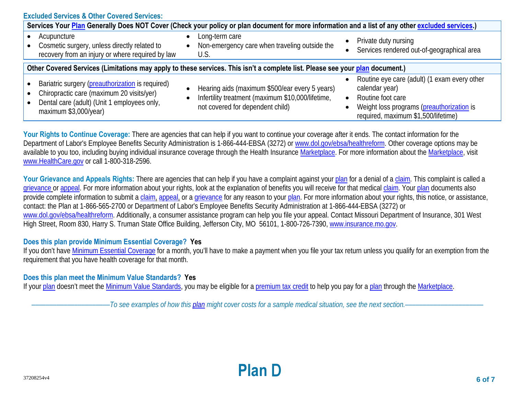| <b>Excluded Services &amp; Other Covered Services:</b>                                                                                                                |                                                                                                                                                                   |                                                                                                                                                                           |  |  |  |
|-----------------------------------------------------------------------------------------------------------------------------------------------------------------------|-------------------------------------------------------------------------------------------------------------------------------------------------------------------|---------------------------------------------------------------------------------------------------------------------------------------------------------------------------|--|--|--|
| Services Your Plan Generally Does NOT Cover (Check your policy or plan document for more information and a list of any other excluded services.)                      |                                                                                                                                                                   |                                                                                                                                                                           |  |  |  |
| Acupuncture<br>Cosmetic surgery, unless directly related to<br>recovery from an injury or where required by law                                                       | Long-term care<br>$\bullet$<br>Non-emergency care when traveling outside the<br>$\bullet$<br>U.S.                                                                 | Private duty nursing<br>Services rendered out-of-geographical area                                                                                                        |  |  |  |
| Other Covered Services (Limitations may apply to these services. This isn't a complete list. Please see your plan document.)                                          |                                                                                                                                                                   |                                                                                                                                                                           |  |  |  |
| Bariatric surgery (preauthorization is required)<br>Chiropractic care (maximum 20 visits/yer)<br>Dental care (adult) (Unit 1 employees only,<br>maximum \$3,000/year) | Hearing aids (maximum \$500/ear every 5 years)<br>$\bullet$<br>Infertility treatment (maximum \$10,000/lifetime,<br>$\bullet$<br>not covered for dependent child) | Routine eye care (adult) (1 exam every other<br>calendar year)<br>• Routine foot care<br>Weight loss programs (preauthorization is<br>required, maximum \$1,500/lifetime) |  |  |  |

Your Rights to Continue Coverage: There are agencies that can help if you want to continue your coverage after it ends. The contact information for the Department of Labor's Employee Benefits Security Administration is 1-866-444-EBSA (3272) o[r www.dol.gov/ebsa/healthreform.](http://www.dol.gov/ebsa/healthreform) Other coverage options may be available to you too, including buying individual insurance coverage through the Health Insurance [Marketplace.](https://www.healthcare.gov/sbc-glossary/#marketplace) For more information about the [Marketplace,](https://www.healthcare.gov/sbc-glossary/#marketplace) visit [www.HealthCare.gov](http://www.healthcare.gov/) or call 1-800-318-2596.

Your Grievance and Appeals Rights: There are agencies that can help if you have a complaint against you[r plan](https://www.healthcare.gov/sbc-glossary/#plan) for a denial of a [claim.](https://www.healthcare.gov/sbc-glossary/#claim) This complaint is called a [grievance](https://www.healthcare.gov/sbc-glossary/#grievance) or [appeal.](https://www.healthcare.gov/sbc-glossary/#appeal) For more information about your rights, look at the explanation of benefits you will receive for that medica[l claim.](https://www.healthcare.gov/sbc-glossary/#claim) Your [plan](https://www.healthcare.gov/sbc-glossary/#plan) documents also provide complete information to submit a [claim,](https://www.healthcare.gov/sbc-glossary/#claim) [appeal,](https://www.healthcare.gov/sbc-glossary/#appeal) or a [grievance](https://www.healthcare.gov/sbc-glossary/#grievance) for any reason to your [plan.](https://www.healthcare.gov/sbc-glossary/#plan) For more information about your rights, this notice, or assistance, contact: the Plan at 1-866-565-2700 or Department of Labor's Employee Benefits Security Administration at 1-866-444-EBSA (3272) or [www.dol.gov/ebsa/healthreform.](http://www.dol.gov/ebsa/healthreform) Additionally, a consumer assistance program can help you file your appeal. Contact Missouri Department of Insurance, 301 West High Street, Room 830, Harry S. Truman State Office Building, Jefferson City, MO 56101, 1-800-726-7390, [www.insurance.mo.gov.](http://www.insurance.mo.gov/)

#### **Does this plan provide Minimum Essential Coverage? Yes**

If you don't have [Minimum Essential Coverage](https://www.healthcare.gov/sbc-glossary/#minimum-essential-coverage) for a month, you'll have to make a payment when you file your tax return unless you qualify for an exemption from the requirement that you have health coverage for that month.

#### **Does this plan meet the Minimum Value Standards? Yes**

If your [plan](https://www.healthcare.gov/sbc-glossary/#plan) doesn't meet the [Minimum Value Standards,](https://www.healthcare.gov/sbc-glossary/#minimum-value-standard) you may be eligible for a [premium tax credit](https://www.healthcare.gov/sbc-glossary/#premium-tax-credits) to help you pay for a plan through the Marketplace.

––––––––––––––––––––––*To see examples of how this [plan](https://www.healthcare.gov/sbc-glossary/#plan) might cover costs for a sample medical situation, see the next section.–––––––––––*–––––––––––